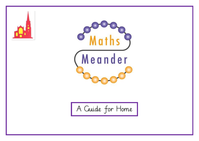



A Guide for Home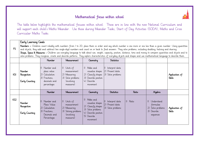## Mathematical focus within school



The table below highlights the mathematical focuses within school. These are in line with the new National Curriculum and will support each child's Maths Meander. Use these during Meander Tasks, Start of Day Activities (SODA), Maths and Cross Curricular Maths Tasks.

#### Early Learning Goals

FS Numbers - Children count reliably with numbers from 1 to 20, place them in order and say which number is one more or one less than a given number. Using quantities and objects, they add and subtract two single-digit numbers and count on or back to find answers. They solve problems, including doubling, halving and sharing. Shape, Space & Measures - Children use everyday language to talk about size, weight, capacity, position, distance, time and money to compare quantities and objects and to solve problems. They recognise, create and describe patterns. They explore characteristics of everyday objects and shapes and use mathematical language to describe them.

|                 |                                                | <b>Number</b>                                                                                     | Measurement                                                                                                    | Geometry                                                                                                                                                | <b>Statistics</b>                                            |                  |                                                                                      |                                 |
|-----------------|------------------------------------------------|---------------------------------------------------------------------------------------------------|----------------------------------------------------------------------------------------------------------------|---------------------------------------------------------------------------------------------------------------------------------------------------------|--------------------------------------------------------------|------------------|--------------------------------------------------------------------------------------|---------------------------------|
| KSI             | Number<br>Recognition<br>Early Counting        | Number and<br>place value<br>Calculation<br>2)<br>3)<br>Fractions,<br>decimals and<br>percentages | 1) Units of<br>measurement<br>2) Measuring<br>3) Solve problems<br><i>involving</i><br>measures)               | $\left  \right\rangle$<br>Make and<br>visualise shapes<br>2) Classify shapes<br>3) Describe position<br>Describe<br>$+)$<br>movement                    | Interpret data<br>Present data<br>21<br>3)<br>Solve problems |                  |                                                                                      | Application of<br><b>Skills</b> |
|                 |                                                | Number                                                                                            | Measurement                                                                                                    | Geometry                                                                                                                                                | <b>Statistics</b>                                            | Ratio            | Algebra                                                                              |                                 |
| KS <sub>2</sub> | <b>Number</b><br>Recognition<br>Early Counting | Number and<br>Place Value<br>Calculation<br>2)<br>3)<br>Fractions,<br>Decimals and<br>Percentages | Units of<br>$  \  $<br>measurement<br>2)<br>Measuring<br>3) Solving problems<br><i>(involving</i><br>measures) | Make and<br>$\left  \right\rangle$<br>visualise shapes<br>2) Classify shapes<br>3) Solve problems<br>4) Describe position<br>5)<br>Describe<br>movement | Interpret data<br>(2)<br>Present data<br>3) Solve problems   | $  \  $<br>Ratio | Understand<br>$\vert$ )<br>formulae<br>2) Solve problems<br>3) Describe<br>sequences | Application of<br><b>Skills</b> |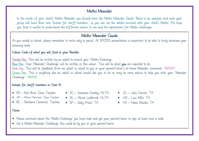## Maths Meander

In the inside of your child's Maths Meander you should have the Maths Meander Guide. Below is an example and each year group will have their own 'Initials for staff members', so you can see the adults involved with your child's Maths. We hope you find it useful to understand the different colours to use and the expectations for Maths challenges.

## Maths Meander Guide

As you would in school, please remember to write only in pencil. At SPCEDS presentation is important to be able to truly showcase your amazing work.

### Colour Code of what you will find in your Ramble:

Purple Pen: This will be written by an adult to record your 'Maths Exchange'. Blue Pen: Your 'Meander Challenge' will be written in this colour. This will be what you are expected to do. Pink Pen: This will be feedback from an adult in school to you or your parent/carer's at home Meander comments. (WOW) Green Pen: This is anything else an adult in school would like you to do or may be some advice to help you with your 'Meander Challenge'. (NOW)

### Initials for staff members in Year 6:

- KB Kim Bird: Class Teacher SC Suzanne Cawley: HLTA JC Julie Carson: TA
- AH Alison Harrison: Class Teacher
- BC Barbara Clements: Teacher
- 
- AL Alison Ladbrook: HLTA
- SP Sally Priest: TA
- 
- $\bullet$  | M  $-$  | uci Mills: TA
- HS Helen Shields: TA

#### Home:

- Please comment about the 'Maths Exchange' you have had and get your parent/carer to sign at least once a week.
- Set a Maths Meander Challenge, this could be by you or your parent/carer.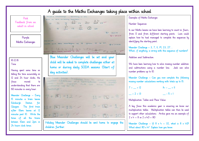Pink Feedback from an adult in school

Purple Maths Exchanges

16.12.16 Time

Ξ

Having spent some time on telling the time accurately on 12 and 24 hour clocks, the focus moved to understanding that there are 60 minutes in every hour.

Meander Challenge – Every 15 minutes a train leaves Edinburgh Station for Glasgow. The first train after 10am leaves at 12 minutes past 10. Write the times of all the trains between 10am and 2pm in 24 hours clock times.

 $\frac{2}{3}$   $\frac{2}{3}$  14 20  $\frac{2}{32}$  14  $-$ 5 P 13 B1 @ 25 **Box Securities**  $E = 25$  ask  $02.12 - 16$ STOM O W OF. 162 track 40 485 Blue Meander Challenges will be set and your child will be asked to complete challenges either at home or during daily SODA sessions (Start of day activities). we have been learning how to solve mozzne number additions and subtractions using number London With support Jack can robe humber Fhallenge- $7 + 5 = 12$  $11 - 5 = 6$ 

 $|+|2| = |3|$  $+ + 151$ 

Holiday Meander Challenges should be sent home to engage the children further.

Examples of Maths Exchanges

#### Number Sequences

In our Maths lessons we have been learning to count in fours, from 0 and from different starting points. Leon could explain how he had managed to complete the sequences by identifuing the starting point.

Meander Challenge – 3, 7, 11, 19, 23, 27… What, if anything, is wrong with this sequence of numbers?

#### Addition and Subtraction

We have been learning how to solve missing number addition and subtractions using a number line. Jack can solve number problems up to 10.

Meander Challenge – Can you now complete the following missing number calculations working with totals up to 15.

| $7 +  = 12$  | $\mathbb{I} + \mathbb{I} = \mathbb{II}$ . |
|--------------|-------------------------------------------|
| $- + 2 - 13$ | $- -5 = 1$                                |

Multiplication Tables and Place Value

i<br>I

A key focus this academic year is ensuring we know our multiplication tables. Multiplication tables can then be used to support other calculations. Archie gave me an example of  $2 \times 4 = 8$  so  $2 \times 40 = 80$ 

Meander Challenge – If  $8 \times 4 = 32$ , what is  $8 \times 40$ ? What about 80 x 4? Explain how you know.

# A guide to the Maths Exchanges taking place within school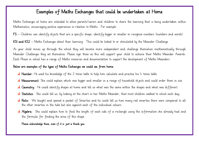## Examples of Maths Exchanges that could be undertaken at Home

 Maths Exchanges at home are intended to allow parents/carers and children to share the learning that is being undertaken within Mathematics, encouraging positive experiences in relation to Maths. For example:

 $\frac{1}{2}$ FS – Children can identify objects that are a specific shape, identify bigger or smaller or recognise numbers (numbers and words).

KS1 and KS2 – Maths Exchanges about their learning. This could be linked to or stimulated by the Meander Challenge.

 As your child moves up through the school they will become more independent and challenge themselves mathematically through Each Phase in school has a range of Maths resources and documentation to support the development of Maths Meanders. Meander Challenges they set themselves. Please sign these as this will support your child to achieve their Maths Meander Awards.

# Below are examples of the types of Maths Exchanges we could see from home.

- **A Number**: He used his knowledge of the 2 times table to help him calculate and practise his  $\downarrow$  times table.
- Ì. **Measurement**: She could explain which was bigger and smaller in a range of household objects and could order them in size.
- Geometry: He could identify shapes at home and tell us what was the same within the shapes and what was different.
- Statistics: She could tell us, by looking at the chart in her Maths Meander, that most children walked to school each day.
- the other smarties in the tube but also against each of the individual colours. **A** Ratio: We bought and opened a packet of Smarties and he could tell us how many red smarties there were compared to all
- $\overline{\phantom{a}}$ **Algebra**: She could explain how to find the length of each side of a rectangle using the information she already had and the formula for finding the area of this shape.

Please acknowledge these, even if it is just a thank you.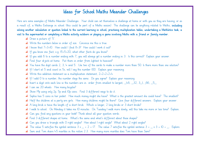## Ideas for School Maths Meander Challenges

Here are some examples of Maths Meander Challenges. Your child can set themselves a challenge at home or with you as they are having, or as a result of, a Maths Exchange in school (this could be part of a Maths session). The challenge can be anything related to Maths, including solving another calculation or question linked to the current learning in school, practising multiplication tables, undertaking a Mathletics task, a visit to the supermarket or completing a Maths activity outdoors or playing a game involving Maths with a friend or family member.

- **al** Draw a picture of '5'.
- Write the numbers below in order of size. Convince me this is true.
- $\mathbf{a}$  I know that  $7+3=10$ . How could I find  $8+3$ ? How could I work it out?
- $\mathbf{A}$  If you know one fact, e.g. 15+5=20, what other facts do you know?
- al If you add 6 to a number ending with 7, you will always get a number ending in 3. Is this correct? Explain your answer.
- al Find four objects at home. Put them in order from lightest to heaviest?
- al You have the digit cards 2, 3, 4 and 5. Use two of the cards to make a number more than 50. Is there more than one solution?
- If I start at 5 and count in 5s, will I say the number 100. Explain your reasoning.
- $\triangleq$  Write this addition statement as a multiplication statement,  $2+2+2+2+4$
- al If I add O to a number, the number stays the same. Do you agree? Explain your reasoning.
- $\blacksquare$  Insert a digit onto each line so the numbers are in order from smallest to largest,  $\blacksquare$ 46,  $\blacksquare$ 32, 3 $\blacksquare$ 1,  $\blacksquare$ 66,  $\blacksquare$ 5 $\blacksquare$
- al I can see 20 wheels. How many bicycles?
- al Show 19p using only 2p, 5p and 10p coins. Find 3 different ways to do it.
- al Sophie has 5 coins in her pocket. How much money might she have? What is the greatest amount she could have? The smallest?
- al Half the children at a party are girls. How many children might be there? Give four different answers. Explain your answer.
- A long brick is twice the length of a short brick. Which is longer, 2 long bricks or 3 short bricks?
- al I walk to school. On Monday it takes me 10 minutes. On Tuesday I walk more slowly, will this take me more or less time? Explain.
- Can you find any questions in your book? Think about all your question words.
- al Find 3 different shapes at home. What's the same and what's different about these shapes?
- al Can you draw a triangle with O right angles? How about I right angle? What about 2 right angles?
- $\mathbb{A}$  The value 5 satisfies the symbol sentence  $3 \times \_ + 2 = 17$ . The value 7 satisfies the symbol sentence  $3 + \_ \times 3 = 10 + \_$ . Explore.
- Sam and Tom share 45 marbles in the ration 2:3. How many more marbles does Tom have than Sam?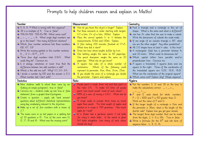# Prompts to help children reason and explain in Maths!

| <b>Number</b>                                                                       | Measurement                                                                        | Geometry                                                                               |  |
|-------------------------------------------------------------------------------------|------------------------------------------------------------------------------------|----------------------------------------------------------------------------------------|--|
| $\pm$ 5, 6, 8, 9 What is wrong with this sequence?                                  | How do you know this object is longer? Explain.<br>٠.                              | + Find a triangle and a rectangle in this set of                                       |  |
| $\pm$ 38 is a multiple of 8. True or false?                                         | $\frac{1}{\sqrt{1-\frac{1}{n}}}$ Put these amounts in order starting with largest, | shapes. What is the same and what is different?                                        |  |
| $+$ 936-10=926 926-10=916 What comes next?                                          | 1/2 a litre, 1/4 of a litre, 300ml. Explain.                                       | $\ddagger$ Jess has 24 cubes that she uses to make a cuboid.                           |  |
| $+$ $+$ $-$ + $-$ = 14 What single digit numbers can                                | $\pm$ Place the correct symbols (< or >) between the                               | Write the dimensions of cuboids she could make.                                        |  |
| go in the boxes? How many different solutions?                                      | measurements, IO3ml and I30ml. Explain.                                            | $\pm$ If one angle of an isosceles triangle is 36°, what                               |  |
| $\frac{1}{2}$ Which four number sentences link these numbers,                       | $\pm$ A film lasting 200 minutes finished at 17:45.                                | size are the other angles? Any other possibilities?                                    |  |
| 100, 67, 33?                                                                        | What time did it start?                                                            | $\pm$ All 2-D shapes have at least $\pm$ sides. Is this true?                          |  |
| $\ddotplus$ Write the missing symbols in this number sentence                       | $\textcolor{red}{\textbf{+}}$ Draw two lines whose lengths differ by 4cm.          | $\pm$ A rectangular field has a perimeter between $\mathbb H$                          |  |
| $6$ $12.3 = 61.9$ $11.9$                                                            | $\pm$ One battery weighs the same as 60 paperclips.                                | and 20 metre. What could its dimensions be?                                            |  |
| $\pm$ Three four digit numbers total 12345. What                                    | One pencil sharpener weighs the same as 20                                         | $\pm$ Which capital letters have parallel and/or                                       |  |
| could they be? Convince me.                                                         | paperclips. What else do you know?                                                 | perpendicular lines. Convince me.                                                      |  |
| $\pm$ Is it always, sometimes or never true that the                                | $\quad \, + \,$ A square has sides of a whole number of                            | $\pm$ A square is translated 3 squares down and one                                    |  |
| difference between two odd numbers is odd?                                          | centimetres. Which of the following could                                          | square to the right. Three of the coordinates of                                       |  |
| Which is the odd one out? Why? 1/2 2/4 3/4                                          | represent its perimeter, 8cm, 18cm, 24cm, 25cm.                                    | the translated square are $(3,6)$ , $(8,11)$ , $(8,6)$ .                               |  |
| $\pm$ 1 divide a number by 100 and the answer is 0.3                                | $\pm$ If you double the area of a rectangle you double                             | What are the coordinates of the original square?                                       |  |
| What number did I start with?                                                       | the perimeter. Explore and explain.                                                | $\frac{1}{2}$ Which comes next? Explain why? (Shape sequence)                          |  |
| <b>Statistics</b>                                                                   | Ratio                                                                              | Algebra                                                                                |  |
| $\textcolor{red}{\blacktriangleleft}$ More children walk to school than come by car | $\frac{1}{2}$ Purple paint is made from red and blue paint in                      | $\downarrow$ Put the numbers 3, 12 and 36 on the lines to                              |  |
| (looking at simple pictogram), true or false?                                       | the ratio 3:5. To make 40 litres of purple                                         | make the calculations correct. $\_\_ = \_\ x \_\_$                                     |  |
| $\pm$ Convince me $-$ children make up own true or false                            | paint, how much would I need of each colour?                                       | 스테스 지스                                                                                 |  |
| statement from a graph/chart/pictogram.                                             | $\frac{1}{2}$ 88% of a sum of money is £242. What else do                          | $+$ P and Q each stand for whole numbers.                                              |  |
| $\pm$ Create a question $-$ pupils ask (and answer)                                 | you know?                                                                          | $P + Q = 1000$ and P is 150 greater than Q.                                            |  |
| questions about different statistical representations                               | A recipe needs to include three times as much                                      | Work out the value of P and Q.                                                         |  |
| using key vocabulary relevant to the objectives.                                    | apple than peach. The total weight of apples and                                   | $\pm$ If the longer length of a rectangle is 13cm and                                  |  |
| $\pm$ Make up a set of five numbers with a mean of                                  | peaches in a recipe is 700 grammes. How much                                       | the perimeter is 36cm, what is the length of the                                       |  |
| 2.7.                                                                                | apple do I need?                                                                   | shorter side? Explain how you got your answer.                                         |  |
| $\,$ The mean score in six test papers in a spelling test                           | + In a flower bed a gardener plants 3 red bulbs                                    | $\pm$ The largest three digit number that can be made                                  |  |
| of 20 questions is 15. Five of the score were 13,                                   | for every $\frac{1}{2}$ white bulbs. If she wants to plant                         | from the digits, $2, 4, 6$ is $264.$ True or false.                                    |  |
| 12, 17, 18 and 16. What was the missing score?                                      | 140 bulbs altogether, how many of each colour                                      | $\textcolor{red}{\pmb{\ast}}$ Write a formula for the IO <sup>th</sup> and nth term of |  |
|                                                                                     | should she buy?                                                                    | sequence below. 4, 8, 12, 16                                                           |  |